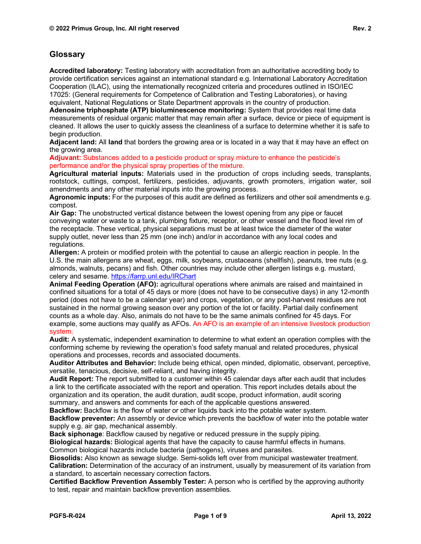**Accredited laboratory:** Testing laboratory with accreditation from an authoritative accrediting body to provide certification services against an international standard e.g. International Laboratory Accreditation Cooperation (ILAC), using the internationally recognized criteria and procedures outlined in ISO/IEC 17025: (General requirements for Competence of Calibration and Testing Laboratories), or having equivalent, National Regulations or State Department approvals in the country of production.

**Adenosine triphosphate (ATP) bioluminescence monitoring:** System that provides real time data measurements of residual organic matter that may remain after a surface, device or piece of equipment is cleaned. It allows the user to quickly assess the cleanliness of a surface to determine whether it is safe to begin production.

**Adjacent land:** All **land** that borders the growing area or is located in a way that it may have an effect on the growing area.

**Adjuvant:** Substances added to a pesticide product or spray mixture to enhance the pesticide's performance and/or the physical spray properties of the mixture.

**Agricultural material inputs:** Materials used in the production of crops including seeds, transplants, rootstock, cuttings, compost, fertilizers, pesticides, adjuvants, growth promoters, irrigation water, soil amendments and any other material inputs into the growing process.

**Agronomic inputs:** For the purposes of this audit are defined as fertilizers and other soil amendments e.g. compost.

**Air Gap:** The unobstructed vertical distance between the lowest opening from any pipe or faucet conveying water or waste to a tank, plumbing fixture, receptor, or other vessel and the flood level rim of the receptacle. These vertical, physical separations must be at least twice the diameter of the water supply outlet, never less than 25 mm (one inch) and/or in accordance with any local codes and regulations.

**Allergen:** A protein or modified protein with the potential to cause an allergic reaction in people. In the U.S. the main allergens are wheat, eggs, milk, soybeans, crustaceans (shellfish), peanuts, tree nuts (e.g. almonds, walnuts, pecans) and fish. Other countries may include other allergen listings e.g. mustard, celery and sesame.<https://farrp.unl.edu/IRChart>

**Animal Feeding Operation (AFO):** agricultural operations where animals are raised and maintained in confined situations for a total of 45 days or more (does not have to be consecutive days) in any 12-month period (does not have to be a calendar year) and crops, vegetation, or any post-harvest residues are not sustained in the normal growing season over any portion of the lot or facility. Partial daily confinement counts as a whole day. Also, animals do not have to be the same animals confined for 45 days. For example, some auctions may qualify as AFOs. An AFO is an example of an intensive livestock production system.

**Audit:** A systematic, independent examination to determine to what extent an operation complies with the conforming scheme by reviewing the operation's food safety manual and related procedures, physical operations and processes, records and associated documents.

**Auditor Attributes and Behavior:** Include being ethical, open minded, diplomatic, observant, perceptive, versatile, tenacious, decisive, self-reliant, and having integrity.

**Audit Report:** The report submitted to a customer within 45 calendar days after each audit that includes a link to the certificate associated with the report and operation. This report includes details about the organization and its operation, the audit duration, audit scope, product information, audit scoring summary, and answers and comments for each of the applicable questions answered.

**Backflow:** Backflow is the flow of water or other liquids back into the potable water system.

**Backflow preventer:** An assembly or device which prevents the backflow of water into the potable water supply e.g. air gap, mechanical assembly.

**Back siphonage**: Backflow caused by negative or reduced pressure in the supply piping.

**Biological hazards:** Biological agents that have the capacity to cause harmful effects in humans. Common biological hazards include bacteria (pathogens), viruses and parasites.

**Biosolids:** Also known as sewage sludge. Semi-solids left over from municipal wastewater treatment. **Calibration:** Determination of the accuracy of an instrument, usually by measurement of its variation from a standard, to ascertain necessary correction factors.

**Certified Backflow Prevention Assembly Tester:** A person who is certified by the approving authority to test, repair and maintain backflow prevention assemblies.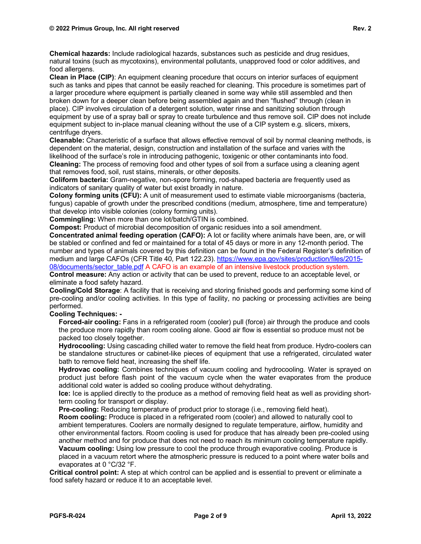**Chemical hazards:** Include radiological hazards, substances such as pesticide and drug residues, natural toxins (such as mycotoxins), environmental pollutants, unapproved food or color additives, and food allergens.

**Clean in Place (CIP)**: An equipment cleaning procedure that occurs on interior surfaces of equipment such as tanks and pipes that cannot be easily reached for cleaning. This procedure is sometimes part of a larger procedure where equipment is partially cleaned in some way while still assembled and then broken down for a deeper clean before being assembled again and then "flushed" through (clean in place). CIP involves circulation of a detergent solution, water rinse and sanitizing solution through equipment by use of a spray ball or spray to create turbulence and thus remove soil. CIP does not include equipment subject to in-place manual cleaning without the use of a CIP system e.g. slicers, mixers, centrifuge dryers.

**Cleanable:** Characteristic of a surface that allows effective removal of soil by normal cleaning methods, is dependent on the material, design, construction and installation of the surface and varies with the likelihood of the surface's role in introducing pathogenic, toxigenic or other contaminants into food.

**Cleaning:** The process of removing food and other types of soil from a surface using a cleaning agent that removes food, soil, rust stains, minerals, or other deposits.

**Coliform bacteria:** Gram-negative, non-spore forming, rod-shaped bacteria are frequently used as indicators of sanitary quality of water but exist broadly in nature.

**Colony forming units (CFU):** A unit of measurement used to estimate viable microorganisms (bacteria, fungus) capable of growth under the prescribed conditions (medium, atmosphere, time and temperature) that develop into visible colonies (colony forming units).

**Commingling:** When more than one lot/batch/GTIN is combined.

**Compost:** Product of microbial decomposition of organic residues into a soil amendment.

**Concentrated animal feeding operation (CAFO):** A lot or facility where animals have been, are, or will be stabled or confined and fed or maintained for a total of 45 days or more in any 12-month period. The number and types of animals covered by this definition can be found in the Federal Register's definition of medium and large CAFOs (CFR Title 40, Part 122.23). [https://www.epa.gov/sites/production/files/2015-](https://www.epa.gov/sites/production/files/2015-08/documents/sector_table.pdf) [08/documents/sector\\_table.pdf](https://www.epa.gov/sites/production/files/2015-08/documents/sector_table.pdf) A CAFO is an example of an intensive livestock production system.

**Control measure:** Any action or activity that can be used to prevent, reduce to an acceptable level, or eliminate a food safety hazard.

**Cooling/Cold Storage**: A facility that is receiving and storing finished goods and performing some kind of pre-cooling and/or cooling activities. In this type of facility, no packing or processing activities are being performed.

## **Cooling Techniques: -**

**Forced-air cooling:** Fans in a refrigerated room (cooler) pull (force) air through the produce and cools the produce more rapidly than room cooling alone. Good air flow is essential so produce must not be packed too closely together.

**Hydrocooling:** Using cascading chilled water to remove the field heat from produce. Hydro-coolers can be standalone structures or cabinet-like pieces of equipment that use a refrigerated, circulated water bath to remove field heat, increasing the shelf life.

**Hydrovac cooling:** Combines techniques of vacuum cooling and hydrocooling. Water is sprayed on product just before flash point of the vacuum cycle when the water evaporates from the produce additional cold water is added so cooling produce without dehydrating.

**Ice:** Ice is applied directly to the produce as a method of removing field heat as well as providing shortterm cooling for transport or display.

**Pre-cooling:** Reducing temperature of product prior to storage (i.e., removing field heat).

**Room cooling:** Produce is placed in a refrigerated room (cooler) and allowed to naturally cool to ambient temperatures. Coolers are normally designed to regulate temperature, airflow, humidity and other environmental factors. Room cooling is used for produce that has already been pre-cooled using another method and for produce that does not need to reach its minimum cooling temperature rapidly.

**Vacuum cooling:** Using low pressure to cool the produce through evaporative cooling. Produce is placed in a vacuum retort where the atmospheric pressure is reduced to a point where water boils and evaporates at 0 °C/32 °F.

**Critical control point:** A step at which control can be applied and is essential to prevent or eliminate a food safety hazard or reduce it to an acceptable level.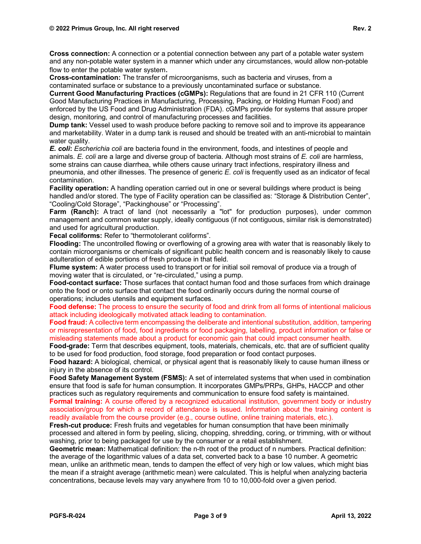**Cross connection:** A connection or a potential connection between any part of a potable water system and any non-potable water system in a manner which under any circumstances, would allow non-potable flow to enter the potable water system.

**Cross-contamination:** The transfer of microorganisms, such as bacteria and viruses, from a contaminated surface or substance to a previously uncontaminated surface or substance.

**Current Good Manufacturing Practices (cGMPs):** Regulations that are found in 21 CFR 110 (Current Good Manufacturing Practices in Manufacturing, Processing, Packing, or Holding Human Food) and enforced by the US Food and Drug Administration (FDA). cGMPs provide for systems that assure proper design, monitoring, and control of manufacturing processes and facilities.

**Dump tank:** Vessel used to wash produce before packing to remove soil and to improve its appearance and marketability. Water in a dump tank is reused and should be treated with an anti-microbial to maintain water quality.

*E. coli***:** *Escherichia coli* are bacteria found in the environment, foods, and intestines of people and animals. *E. coli* are a large and diverse group of bacteria. Although most strains of *E. coli* are harmless, some strains can cause diarrhea, while others cause urinary tract infections, respiratory illness and pneumonia, and other illnesses. The presence of generic *E. coli* is frequently used as an indicator of fecal contamination.

**Facility operation:** A handling operation carried out in one or several buildings where product is being handled and/or stored. The type of Facility operation can be classified as: "Storage & Distribution Center", "Cooling/Cold Storage", "Packinghouse" or "Processing".

**Farm (Ranch):** A tract of land (not necessarily a "lot" for production purposes), under common management and common water supply, ideally contiguous (if not contiguous, similar risk is demonstrated) and used for agricultural production.

**Fecal coliforms:** Refer to "thermotolerant coliforms".

**Flooding:** The uncontrolled flowing or overflowing of a growing area with water that is reasonably likely to contain microorganisms or chemicals of significant public health concern and is reasonably likely to cause adulteration of edible portions of fresh produce in that field.

**Flume system:** A water process used to transport or for initial soil removal of produce via a trough of moving water that is circulated, or "re-circulated," using a pump.

**Food-contact surface:** Those surfaces that contact human food and those surfaces from which drainage onto the food or onto surface that contact the food ordinarily occurs during the normal course of operations; includes utensils and equipment surfaces.

**Food defense:** The process to ensure the security of food and drink from all forms of intentional malicious attack including ideologically motivated attack leading to contamination.

**Food fraud:** A collective term encompassing the deliberate and intentional substitution, addition, tampering or misrepresentation of food, food ingredients or food packaging, labelling, product information or false or misleading statements made about a product for economic gain that could impact consumer health.

**Food-grade:** Term that describes equipment, tools, materials, chemicals, etc. that are of sufficient quality to be used for food production, food storage, food preparation or food contact purposes.

**Food hazard:** A biological, chemical, or physical agent that is reasonably likely to cause human illness or injury in the absence of its control.

**Food Safety Management System (FSMS):** A set of interrelated systems that when used in combination ensure that food is safe for human consumption. It incorporates GMPs/PRPs, GHPs, HACCP and other practices such as regulatory requirements and communication to ensure food safety is maintained.

**Formal training:** A course offered by a recognized educational institution, government body or industry association/group for which a record of attendance is issued. Information about the training content is readily available from the course provider (e.g., course outline, online training materials, etc.).

**Fresh-cut produce:** Fresh fruits and vegetables for human consumption that have been minimally processed and altered in form by peeling, slicing, chopping, shredding, coring, or trimming, with or without washing, prior to being packaged for use by the consumer or a retail establishment.

**Geometric mean:** Mathematical definition: the n-th root of the product of n numbers. Practical definition: the average of the logarithmic values of a data set, converted back to a base 10 number. A geometric mean, unlike an arithmetic mean, tends to dampen the effect of very high or low values, which might bias the mean if a straight average (arithmetic mean) were calculated. This is helpful when analyzing bacteria concentrations, because levels may vary anywhere from 10 to 10,000-fold over a given period.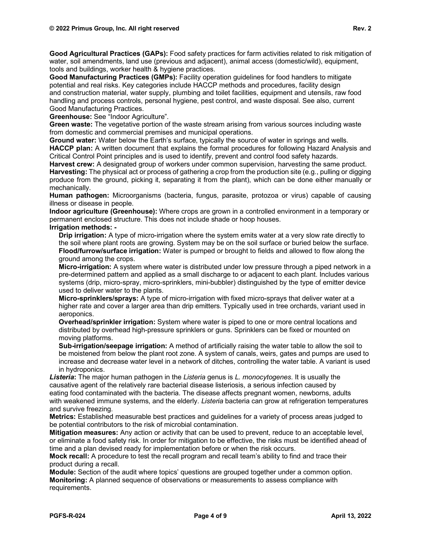**Good Agricultural Practices (GAPs):** Food safety practices for farm activities related to risk mitigation of water, soil amendments, land use (previous and adjacent), animal access (domestic/wild), equipment, tools and buildings, worker health & hygiene practices.

**Good Manufacturing Practices (GMPs):** Facility operation guidelines for food handlers to mitigate potential and real risks. Key categories include HACCP methods and procedures, facility design and [construction](https://thelawdictionary.org/construction-material/) material, water supply, plumbing and toilet facilities, equipment and utensils, raw food handling and process controls, personal hygiene, pest control, and waste [disposal.](https://thelawdictionary.org/waste-disposal/) See also, current Good Manufacturing Practices.

**Greenhouse:** See "Indoor Agriculture".

**Green waste:** The vegetative portion of the waste stream arising from various sources including waste from domestic and commercial premises and municipal operations.

**Ground water:** Water below the Earth's surface, typically the source of water in springs and wells.

**HACCP plan:** A written document that explains the formal procedures for following Hazard Analysis and Critical Control Point principles and is used to identify, prevent and control food safety hazards.

**Harvest crew:** A designated group of workers under common supervision, harvesting the same product. **Harvesting:** The physical act or process of gathering a crop from the production site (e.g., pulling or digging produce from the ground, picking it, separating it from the plant), which can be done either manually or mechanically.

**Human pathogen:** Microorganisms (bacteria, fungus, parasite, protozoa or virus) capable of causing illness or disease in people.

**Indoor agriculture (Greenhouse):** Where crops are grown in a controlled environment in a temporary or permanent enclosed structure. This does not include shade or hoop houses.

**Irrigation methods: -**

**Drip irrigation:** A type of micro-irrigation where the system emits water at a very slow rate directly to the soil where plant roots are growing. System may be on the soil surface or buried below the surface. **Flood/furrow/surface irrigation:** Water is pumped or brought to fields and allowed to flow along the ground among the crops.

**Micro-irrigation:** A system where water is distributed under low pressure through a piped network in a pre-determined pattern and applied as a small discharge to or adjacent to each plant. Includes various systems (drip, micro-spray, micro-sprinklers, mini-bubbler) distinguished by the type of emitter device used to deliver water to the plants.

**Micro-sprinklers/sprays:** A type of micro-irrigation with fixed micro-sprays that deliver water at a higher rate and cover a larger area than drip emitters. Typically used in tree orchards, variant used in aeroponics.

**Overhead/sprinkler irrigation:** System where water is piped to one or more central locations and distributed by overhead high-pressure sprinklers or guns. Sprinklers can be fixed or mounted on moving platforms.

**Sub-irrigation/seepage irrigation:** A method of artificially raising the water table to allow the soil to be moistened from below the plant root zone. A system of canals, weirs, gates and pumps are used to increase and decrease water level in a network of ditches, controlling the water table. A variant is used in hydroponics.

*Listeria***:** The major [human pathogen](https://en.wikipedia.org/wiki/Human_pathogen) in the *Listeria* genus is *[L. monocytogenes](https://en.wikipedia.org/wiki/Listeria_monocytogenes)*. It is usually the causative agent of the relatively rare bacterial disease [listeriosis,](https://en.wikipedia.org/wiki/Listeriosis) a serious [infection](https://en.wikipedia.org/wiki/Infection) caused by eating [food contaminated](https://en.wikipedia.org/wiki/Foodborne_illness) with the bacteria. The disease affects [pregnant women,](https://en.wikipedia.org/wiki/Pregnancy) [newborns,](https://en.wikipedia.org/wiki/Neonate) adults with [weakened immune systems,](https://en.wikipedia.org/wiki/Immunodeficiency) and the [elderly.](https://en.wikipedia.org/wiki/Old_age) *Listeria* bacteria can grow at refrigeration temperatures and survive freezing.

**Metrics:** Established measurable best practices and guidelines for a variety of process areas judged to be potential contributors to the risk of microbial contamination.

**Mitigation measures:** Any action or activity that can be used to prevent, reduce to an acceptable level, or eliminate a food safety risk. In order for mitigation to be effective, the risks must be identified ahead of time and a plan devised ready for implementation before or when the risk occurs.

**Mock recall:** A procedure to test the recall program and recall team's ability to find and trace their product during a recall.

**Module:** Section of the audit where topics' questions are grouped together under a common option. **Monitoring:** A planned sequence of observations or measurements to assess compliance with requirements.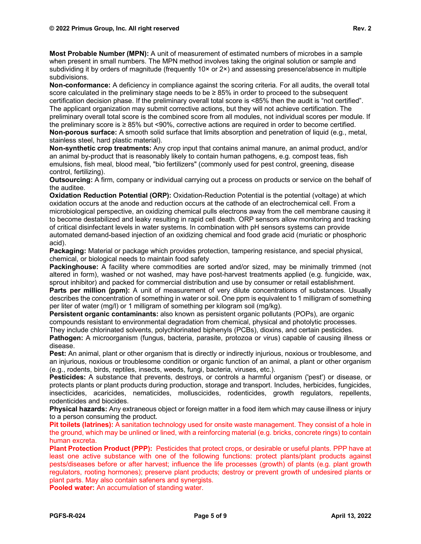**Most Probable Number (MPN):** A unit of measurement of estimated numbers of microbes in a sample when present in small numbers. The MPN method involves taking the original solution or sample and subdividing it by orders of magnitude (frequently  $10 \times$  or  $2 \times$ ) and assessing presence/absence in multiple subdivisions.

**Non-conformance:** A deficiency in compliance against the scoring criteria. For all audits, the overall total score calculated in the preliminary stage needs to be  $\geq 85\%$  in order to proceed to the subsequent certification decision phase. If the preliminary overall total score is <85% then the audit is "not certified". The applicant organization may submit corrective actions, but they will not achieve certification. The preliminary overall total score is the combined score from all modules, not individual scores per module. If the preliminary score is ≥ 85% but <90%, corrective actions are required in order to become certified. **Non-porous surface:** A smooth solid surface that limits absorption and penetration of liquid (e.g., metal, stainless steel, hard plastic material).

**Non-synthetic crop treatments:** Any crop input that contains animal manure, an animal product, and/or an animal by-product that is reasonably likely to contain human pathogens, e.g. compost teas, fish emulsions, fish meal, blood meal, "bio fertilizers" (commonly used for pest control, greening, disease control, fertilizing).

**Outsourcing:** A firm, company or individual carrying out a process on products or service on the behalf of the auditee.

**Oxidation Reduction Potential (ORP):** Oxidation-Reduction Potential is the potential (voltage) at which oxidation occurs at the anode and reduction occurs at the cathode of an electrochemical cell. From a microbiological perspective, an oxidizing chemical pulls electrons away from the cell membrane causing it to become destabilized and leaky resulting in rapid cell death. ORP sensors allow monitoring and tracking of critical disinfectant levels in water systems. In combination with pH sensors systems can provide automated demand-based injection of an oxidizing chemical and food grade acid (muriatic or phosphoric acid).

**Packaging:** Material or package which provides protection, tampering resistance, and special physical, chemical, or biological needs to maintain food safety

**Packinghouse:** A facility where commodities are sorted and/or sized, may be minimally trimmed (not altered in form), washed or not washed, may have post-harvest treatments applied (e.g. fungicide, wax, sprout inhibitor) and packed for commercial distribution and use by consumer or retail establishment.

**Parts per million (ppm):** A unit of measurement of very dilute concentrations of substances. Usually describes the concentration of something in water or soil. One ppm is equivalent to 1 milligram of something per liter of water (mg/l) or 1 milligram of something per kilogram soil (mg/kg).

**Persistent organic contaminants:** also known as persistent organic pollutants (POPs), are organic compounds resistant to environmental degradation from chemical, physical and photolytic processes.

They include chlorinated solvents, polychlorinated biphenyls (PCBs), dioxins, and certain pesticides.

**Pathogen:** A microorganism (fungus, bacteria, parasite, protozoa or virus) capable of causing illness or disease.

**Pest:** An animal, plant or other organism that is directly or indirectly injurious, noxious or troublesome, and an injurious, noxious or troublesome condition or organic function of an animal, a plant or other organism (e.g., rodents, birds, reptiles, insects, weeds, fungi, bacteria, viruses, etc.).

**Pesticides:** A substance that prevents, destroys, or controls a harmful organism ('pest') or disease, or protects plants or plant products during production, storage and transport. Includes, herbicides, fungicides, insecticides, acaricides, nematicides, molluscicides, rodenticides, growth regulators, repellents, rodenticides and biocides.

**Physical hazards:** Any extraneous object or foreign matter in a food item which may cause illness or injury to a person consuming the product.

**Pit toilets (latrines):** A sanitation technology used for onsite waste management. They consist of a hole in the ground, which may be unlined or lined, with a reinforcing material (e.g. bricks, concrete rings) to contain human excreta.

**Plant Protection Product (PPP):** Pesticides that protect crops, or desirable or useful plants. PPP have at least one active substance with one of the following functions: protect plants/plant products against pests/diseases before or after harvest; influence the life processes (growth) of plants (e.g. plant growth regulators, rooting hormones); preserve plant products; destroy or prevent growth of undesired plants or plant parts. May also contain safeners and synergists.

**Pooled water:** An accumulation of standing water.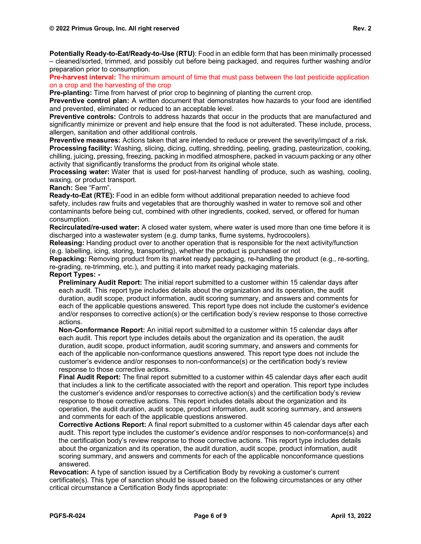**Potentially Ready-to-Eat/Ready-to-Use (RTU)**: Food in an edible form that has been minimally processed – cleaned/sorted, trimmed, and possibly cut before being packaged, and requires further washing and/or preparation prior to consumption.

**Pre-harvest interval:** The minimum amount of time that must pass between the last pesticide application on a crop and the harvesting of the crop

**Pre-planting:** Time from harvest of prior crop to beginning of planting the current crop.

**Preventive control plan:** A written [document](https://www.inspection.gc.ca/food-safety-for-industry/toolkit-for-food-businesses/glossary-of-key-terms/eng/1430250286859/1430250287405#a70) that demonstrates how [hazards](https://www.inspection.gc.ca/food-safety-for-industry/toolkit-for-food-businesses/glossary-of-key-terms/eng/1430250286859/1430250287405#a10) to your [food](https://www.inspection.gc.ca/food-safety-for-industry/toolkit-for-food-businesses/glossary-of-key-terms/eng/1430250286859/1430250287405#a80) are identified and prevented, eliminated or reduced to an [acceptable level.](https://www.inspection.gc.ca/food-safety-for-industry/toolkit-for-food-businesses/glossary-of-key-terms/eng/1430250286859/1430250287405#a52)

**Preventive controls:** Controls to address hazards that occur in the products that are manufactured and significantly minimize or prevent and help ensure that the food is not adulterated. These include, process, allergen, sanitation and other additional controls.

**Preventive measures:** Actions taken that are intended to reduce or prevent the severity/impact of a risk. **Processing facility:** Washing, slicing, dicing, cutting, shredding, peeling, grading, pasteurization, cooking, chilling, juicing, pressing, freezing, packing in modified atmosphere, packed in vacuum packing or any other activity that significantly transforms the product from its original whole state.

**Processing water:** Water that is used for post-harvest handling of produce, such as washing, cooling, waxing, or product transport.

**Ranch:** See "Farm".

**Ready-to-Eat (RTE):** Food in an edible form without additional preparation needed to achieve food safety, includes raw fruits and vegetables that are thoroughly washed in water to remove soil and other contaminants before being cut, combined with other ingredients, cooked, served, or offered for human consumption.

**Recirculated/re-used water:** A closed water system, where water is used more than one time before it is discharged into a wastewater system (e.g. dump tanks, flume systems, hydrocoolers).

**Releasing:** Handing product over to another operation that is responsible for the next activity/function (e.g. labelling, icing, storing, transporting), whether the product is purchased or not

**Repacking:** Removing product from its market ready packaging, re-handling the product (e.g., re-sorting, re-grading, re-trimming, etc.), and putting it into market ready packaging materials.

## **Report Types: -**

**Preliminary Audit Report:** The initial report submitted to a customer within 15 calendar days after each audit. This report type includes details about the organization and its operation, the audit duration, audit scope, product information, audit scoring summary, and answers and comments for each of the applicable questions answered. This report type does not include the customer's evidence and/or responses to corrective action(s) or the certification body's review response to those corrective actions.

**Non-Conformance Report:** An initial report submitted to a customer within 15 calendar days after each audit. This report type includes details about the organization and its operation, the audit duration, audit scope, product information, audit scoring summary, and answers and comments for each of the applicable non-conformance questions answered. This report type does not include the customer's evidence and/or responses to non-conformance(s) or the certification body's review response to those corrective actions.

**Final Audit Report:** The final report submitted to a customer within 45 calendar days after each audit that includes a link to the certificate associated with the report and operation. This report type includes the customer's evidence and/or responses to corrective action(s) and the certification body's review response to those corrective actions. This report includes details about the organization and its operation, the audit duration, audit scope, product information, audit scoring summary, and answers and comments for each of the applicable questions answered.

**Corrective Actions Report:** A final report submitted to a customer within 45 calendar days after each audit. This report type includes the customer's evidence and/or responses to non-conformance(s) and the certification body's review response to those corrective actions. This report type includes details about the organization and its operation, the audit duration, audit scope, product information, audit scoring summary, and answers and comments for each of the applicable nonconformance questions answered.

**Revocation:** A type of sanction issued by a Certification Body by revoking a customer's current certificate(s). This type of sanction should be issued based on the following circumstances or any other critical circumstance a Certification Body finds appropriate: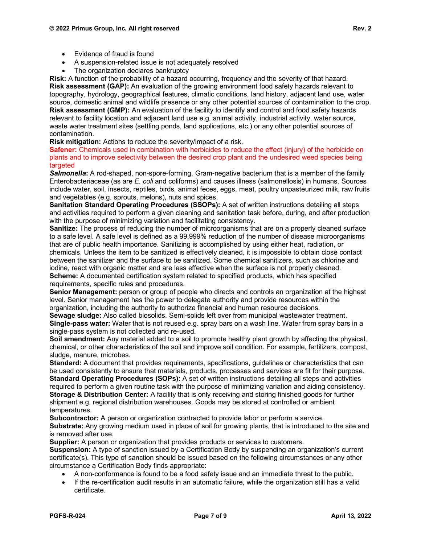- Evidence of fraud is found
- A suspension-related issue is not adequately resolved
- The organization declares bankruptcy

**Risk:** A function of the probability of a hazard occurring, frequency and the severity of that hazard. **Risk assessment (GAP):** An evaluation of the growing environment food safety hazards relevant to topography, hydrology, geographical features, climatic conditions, land history, adjacent land use, water source, domestic animal and wildlife presence or any other potential sources of contamination to the crop. **Risk assessment (GMP):** An evaluation of the facility to identify and control and food safety hazards relevant to facility location and adjacent land use e.g. animal activity, industrial activity, water source, waste water treatment sites (settling ponds, land applications, etc.) or any other potential sources of contamination.

**Risk mitigation:** Actions to reduce the severity/impact of a risk.

**Safener:** Chemicals used in combination with herbicides to reduce the effect (injury) of the herbicide on plants and to improve selectivity between the desired crop plant and the undesired weed species being targeted

*Salmonella***:** A rod-shaped, non-spore-forming, Gram-negative bacterium that is a member of the family Enterobacteriaceae (as are *E. coli* and coliforms) and causes illness (salmonellosis) in humans. Sources include water, soil, insects, reptiles, birds, animal feces, eggs, meat, poultry unpasteurized milk, raw fruits and vegetables (e.g. sprouts, melons), nuts and spices.

**Sanitation Standard Operating Procedures (SSOPs):** A set of written instructions detailing all steps and activities required to perform a given cleaning and sanitation task before, during, and after production with the purpose of minimizing variation and facilitating consistency.

**Sanitize:** The process of reducing the number of microorganisms that are on a properly cleaned surface to a safe level. A safe level is defined as a 99.999% reduction of the number of disease microorganisms that are of public health importance. Sanitizing is accomplished by using either heat, radiation, or chemicals. Unless the item to be sanitized is effectively cleaned, it is impossible to obtain close contact between the sanitizer and the surface to be sanitized. Some chemical sanitizers, such as chlorine and iodine, react with organic matter and are less effective when the surface is not properly cleaned. **Scheme:** A documented certification system related to specified products, which has specified requirements, specific rules and procedures.

**Senior Management:** person or group of people who directs and controls an organization at the highest level. Senior management has the power to delegate authority and provide resources within the organization, including the authority to authorize financial and human resource decisions.

**Sewage sludge:** Also called biosolids. Semi-solids left over from municipal wastewater treatment. **Single-pass water:** Water that is not reused e.g. spray bars on a wash line. Water from spray bars in a single-pass system is not collected and re-used.

**Soil amendment:** Any material added to a soil to promote healthy plant growth by affecting the physical, chemical, or other characteristics of the soil and improve soil condition. For example, fertilizers, compost, sludge, manure, microbes.

**Standard:** A document that provides requirements, specifications, guidelines or characteristics that can be used consistently to ensure that materials, products, processes and services are fit for their purpose. **Standard Operating Procedures (SOPs):** A set of written instructions detailing all steps and activities required to perform a given routine task with the purpose of minimizing variation and aiding consistency. **Storage & Distribution Center:** A facility that is only receiving and storing finished goods for further shipment e.g. regional distribution warehouses. Goods may be stored at controlled or ambient temperatures.

**Subcontractor:** A person or organization contracted to provide labor or perform a service. **Substrate:** Any growing medium used in place of soil for growing plants, that is introduced to the site and is removed after use.

**Supplier:** A person or organization that provides products or services to customers.

**Suspension:** A type of sanction issued by a Certification Body by suspending an organization's current certificate(s). This type of sanction should be issued based on the following circumstances or any other circumstance a Certification Body finds appropriate:

- A non-conformance is found to be a food safety issue and an immediate threat to the public.
- If the re-certification audit results in an automatic failure, while the organization still has a valid certificate.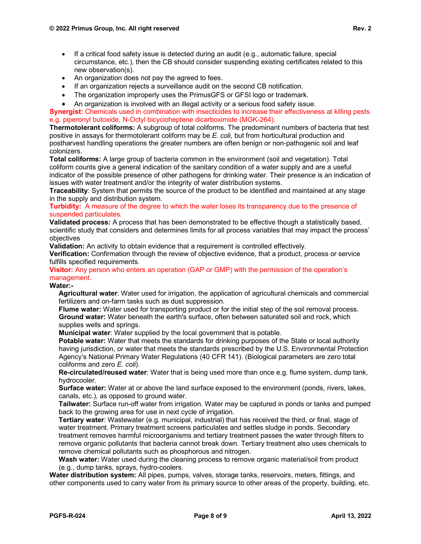- If a critical food safety issue is detected during an audit (e.g., automatic failure, special circumstance, etc.), then the CB should consider suspending existing certificates related to this new observation(s).
- An organization does not pay the agreed to fees.
- If an organization rejects a surveillance audit on the second CB notification.
- The organization improperly uses the PrimusGFS or GFSI logo or trademark.
- An organization is involved with an illegal activity or a serious food safety issue.

**Synergist:** Chemicals used in combination with insecticides to increase their effectiveness at killing pests e.g. piperonyl butoxide, N-Octyl bicycioheptene dicarboximide (MGK-264).

**Thermotolerant coliforms:** A subgroup of total coliforms. The predominant numbers of bacteria that test positive in assays for thermotolerant coliform may be *E. coli*, but from horticultural production and postharvest handling operations the greater numbers are often benign or non-pathogenic soil and leaf colonizers.

**Total coliforms:** A large group of bacteria common in the environment (soil and vegetation). Total coliform counts give a general indication of the sanitary condition of a water supply and are a useful indicator of the possible presence of other pathogens for drinking water. Their presence is an indication of issues with water treatment and/or the integrity of water distribution systems.

**Traceability**: System that permits the source of the product to be identified and maintained at any stage in the supply and distribution system.

**Turbidity:** A measure of the degree to which the water loses its transparency due to the presence of suspended particulates.

**Validated process:** A process that has been demonstrated to be effective though a statistically based, scientific study that considers and determines limits for all process variables that may impact the process' objectives

**Validation:** An activity to obtain evidence that a requirement is controlled effectively.

**Verification:** Confirmation through the review of objective evidence, that a product, process or service fulfills specified requirements.

**Visitor:** Any person who enters an operation (GAP or GMP) with the permission of the operation's management.

## **Water:-**

**Agricultural water**: Water used for irrigation, the application of agricultural chemicals and commercial fertilizers and on-farm tasks such as dust suppression.

**Flume water:** Water used for transporting product or for the initial step of the soil removal process. **Ground water:** Water beneath the earth's surface, often between saturated soil and rock, which supplies wells and springs.

**Municipal water**: Water supplied by the local government that is potable.

**Potable water:** Water that meets the standards for drinking purposes of the State or local authority having jurisdiction, or water that meets the standards prescribed by the U.S. Environmental Protection Agency's National Primary Water Regulations (40 CFR 141). (Biological parameters are zero total coliforms and zero *E. coli*).

**Re-circulated/reused water**: Water that is being used more than once e.g. flume system, dump tank, hydrocooler.

**Surface water:** Water at or above the land surface exposed to the environment (ponds, rivers, lakes, canals, etc.), as opposed to ground water.

**Tailwater:** Surface run-off water from irrigation. Water may be captured in ponds or tanks and pumped back to the growing area for use in next cycle of irrigation.

**Tertiary water**: Wastewater (e.g. municipal, industrial) that has received the third, or final, stage of water treatment. Primary treatment screens particulates and settles sludge in ponds. Secondary treatment removes harmful microorganisms and tertiary treatment passes the water through filters to remove organic pollutants that bacteria cannot break down. Tertiary treatment also uses chemicals to remove chemical pollutants such as phosphorous and nitrogen.

**Wash water:** Water used during the cleaning process to remove organic material/soil from product (e.g., dump tanks, sprays, hydro-coolers.

**Water distribution system:** All pipes, pumps, valves, storage tanks, reservoirs, meters, fittings, and other components used to carry water from its primary source to other areas of the property, building, etc.